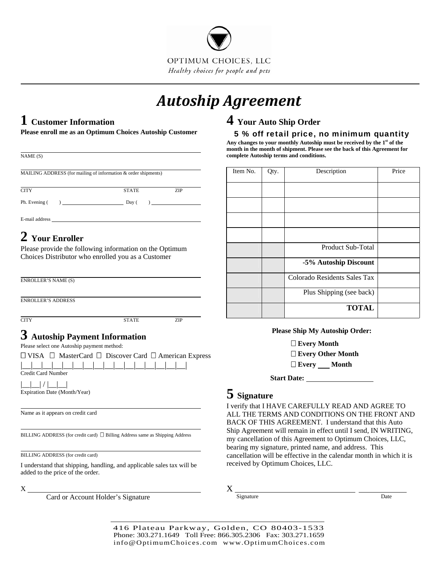

# *Autoship Agreement*

### **1 Customer Information**

**Please enroll me as an Optimum Choices Autoship Customer**

| NAME (S)                                   |                                                                                             |                                                                                                     | month in the mo<br>complete Autosl |
|--------------------------------------------|---------------------------------------------------------------------------------------------|-----------------------------------------------------------------------------------------------------|------------------------------------|
|                                            | MAILING ADDRESS (for mailing of information & order shipments)                              |                                                                                                     | Item No.                           |
| <b>CITY</b>                                | <b>STATE</b>                                                                                | ZIP                                                                                                 |                                    |
| Ph. Evening (                              | $) \begin{tabular}{l} \hline \rule[1mm]{1mm}{6mm} \rule[1mm]{1mm}{6mm} Day ( \end{tabular}$ | $\begin{tabular}{ c c c c } \hline \quad \quad & \quad \quad & \quad \quad \\ \hline \end{tabular}$ |                                    |
|                                            |                                                                                             |                                                                                                     |                                    |
| 2 Your Enroller                            |                                                                                             |                                                                                                     |                                    |
|                                            | Please provide the following information on the Optimum                                     |                                                                                                     |                                    |
|                                            | Choices Distributor who enrolled you as a Customer                                          |                                                                                                     |                                    |
|                                            |                                                                                             |                                                                                                     |                                    |
| <b>ENROLLER'S NAME (S)</b>                 |                                                                                             |                                                                                                     |                                    |
| <b>ENROLLER'S ADDRESS</b>                  |                                                                                             |                                                                                                     |                                    |
|                                            |                                                                                             |                                                                                                     |                                    |
| <b>CITY</b>                                | <b>STATE</b>                                                                                | ZIP                                                                                                 |                                    |
| $\bf 3$ Autoship Payment Information       |                                                                                             |                                                                                                     |                                    |
| Please select one Autoship payment method: |                                                                                             |                                                                                                     |                                    |
|                                            | $\Box$ VISA $\Box$ MasterCard $\Box$ Discover Card $\Box$ American Express                  |                                                                                                     |                                    |
| <b>Credit Card Number</b>                  |                                                                                             |                                                                                                     |                                    |
|                                            |                                                                                             |                                                                                                     |                                    |
| Expiration Date (Month/Year)               |                                                                                             |                                                                                                     | $5$ Signatu                        |
|                                            |                                                                                             |                                                                                                     | I verify that I                    |
| Name as it appears on credit card          |                                                                                             |                                                                                                     | <b>ALL THE TE</b>                  |
|                                            |                                                                                             |                                                                                                     | <b>BACK OF TI</b>                  |
|                                            | BILLING ADDRESS (for credit card) $\Box$ Billing Address same as Shipping Address           |                                                                                                     | Ship Agreem<br>my cancellati       |

BILLING ADDRESS (for credit card)

I understand that shipping, handling, and applicable sales tax will be added to the price of the order.

X

 $\overline{a}$ 

Card or Account Holder's Signature

### **4 Your Auto Ship Order**

5 % off retail price, no minimum quantity

**Any changes to your monthly Autoship must be received by the 1st of the month of shipment. Please see the back of this Agreement for complete Autoship terms and conditions.** 

| Item No. | Qty. | Description                  | Price |
|----------|------|------------------------------|-------|
|          |      |                              |       |
|          |      |                              |       |
|          |      |                              |       |
|          |      |                              |       |
|          |      | <b>Product Sub-Total</b>     |       |
|          |      | -5% Autoship Discount        |       |
|          |      | Colorado Residents Sales Tax |       |
|          |      | Plus Shipping (see back)     |       |
|          |      | <b>TOTAL</b>                 |       |

#### **Please Ship My Autoship Order:**

**Every Month Every Other Month** 

**Every Month** 

**Start Date:** 

## **5 Signature**

HAVE CAREFULLY READ AND AGREE TO ERMS AND CONDITIONS ON THE FRONT AND HIS AGREEMENT. I understand that this Auto ent will remain in effect until I send, IN WRITING, on of this Agreement to Optimum Choices, LLC, bearing my signature, printed name, and address. This cancellation will be effective in the calendar month in which it is received by Optimum Choices, LLC.

X

Signature Date

416 Plateau Parkway, Golden, CO 80403-1533 Phone: 303.271.1649 Toll Free: 866.305.2306 Fax: 303.271.1659 info@OptimumChoices.com www.OptimumChoices.com